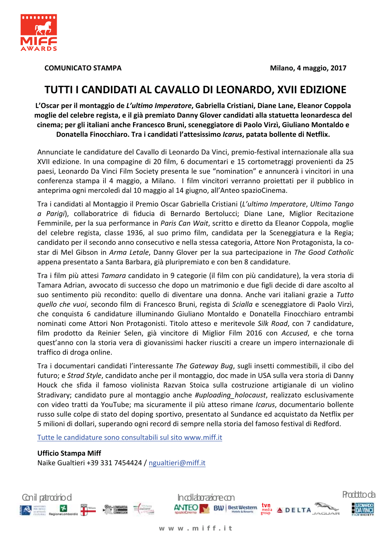

**COMUNICATO STAMPA** 

# TUTTI I CANDIDATI AL CAVALLO DI LEONARDO, XVII EDIZIONE

L'Oscar per il montaggio de L'ultimo Imperatore, Gabriella Cristiani, Diane Lane, Eleanor Coppola moglie del celebre regista, e il già premiato Danny Glover candidati alla statuetta leonardesca del cinema; per gli italiani anche Francesco Bruni, sceneggiatore di Paolo Virzì, Giuliano Montaldo e Donatella Finocchiaro. Tra i candidati l'attesissimo Icarus, patata bollente di Netflix.

Annunciate le candidature del Cavallo di Leonardo Da Vinci, premio-festival internazionale alla sua XVII edizione. In una compagine di 20 film, 6 documentari e 15 cortometraggi provenienti da 25 paesi, Leonardo Da Vinci Film Society presenta le sue "nomination" e annuncerà i vincitori in una conferenza stampa il 4 maggio, a Milano. I film vincitori verranno proiettati per il pubblico in anteprima ogni mercoledì dal 10 maggio al 14 giugno, all'Anteo spazioCinema.

Tra i candidati al Montaggio il Premio Oscar Gabriella Cristiani (L'ultimo Imperatore, Ultimo Tango a Parigi), collaboratrice di fiducia di Bernardo Bertolucci; Diane Lane, Miglior Recitazione Femminile, per la sua performance in Paris Can Wait, scritto e diretto da Eleanor Coppola, moglie del celebre regista, classe 1936, al suo primo film, candidata per la Sceneggiatura e la Regia; candidato per il secondo anno consecutivo e nella stessa categoria, Attore Non Protagonista, la costar di Mel Gibson in Arma Letale, Danny Glover per la sua partecipazione in The Good Catholic appena presentato a Santa Barbara, già pluripremiato e con ben 8 candidature.

Tra i film più attesi Tamara candidato in 9 categorie (il film con più candidature), la vera storia di Tamara Adrian, avvocato di successo che dopo un matrimonio e due figli decide di dare ascolto al suo sentimento più recondito: quello di diventare una donna. Anche vari italiani grazie a Tutto quello che vuoi, secondo film di Francesco Bruni, regista di Scialla e sceneggiatore di Paolo Virzì, che conquista 6 candidature illuminando Giuliano Montaldo e Donatella Finocchiaro entrambi nominati come Attori Non Protagonisti. Titolo atteso e meritevole Silk Road, con 7 candidature, film prodotto da Reinier Selen, già vincitore di Miglior Film 2016 con Accused, e che torna guest'anno con la storia vera di giovanissimi hacker riusciti a creare un impero internazionale di traffico di droga online.

Tra i documentari candidati l'interessante The Gateway Bug, sugli insetti commestibili, il cibo del futuro; e Strad Style, candidato anche per il montaggio, doc made in USA sulla vera storia di Danny Houck che sfida il famoso violinista Razvan Stoica sulla costruzione artigianale di un violino Stradivary; candidato pure al montaggio anche #uploading holocaust, realizzato esclusivamente con video tratti da YouTube; ma sicuramente il più atteso rimane Icarus, documentario bollente russo sulle colpe di stato del doping sportivo, presentato al Sundance ed acquistato da Netflix per 5 milioni di dollari, superando ogni record di sempre nella storia del famoso festival di Redford.

Tutte le candidature sono consultabili sul sito www.miff.it

**Ufficio Stampa Miff** Naike Gualtieri +39 331 7454424 / ngualtieri@miff.it

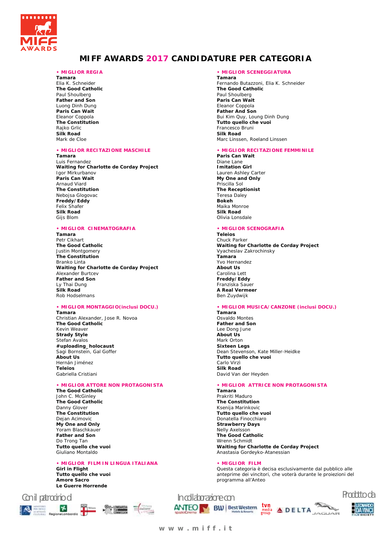

# **MIFF AWARDS 2017 CANDIDATURE PER CATEGORIA**

# **• MIGLIOR REGIA**

**Tamara**  Elia K. Schneider **The Good Catholic**  Paul Shoulberg **Father and Son**  Luong Dinh Dung **Paris Can Wait**  Eleanor Coppola **The Constitution**  Rajko Grlic **Silk Road**  Mark de Cloe

#### **• MIGLIOR RECITAZIONE MASCHILE**

**Tamara** 

Luis Fernandez **Waiting for Charlotte de Corday Project**  Igor Mirkurbanov **Paris Can Wait**  Arnaud Viard **The Constitution**  Nebojsa Glogovac **Freddy/Eddy**  Felix Shafer **Silk Road**  Gijs Blom

# **• MIGLIOR CINEMATOGRAFIA**

**Tamara**  Petr Cikhart **The Good Catholic**  Justin Montgomery **The Constitution**  Branko Linta **Waiting for Charlotte de Corday Project**  Alexander Burtcev **Father and Son** Ly Thai Dung **Silk Road**  Rob Hodselmans

# **• MIGLIOR MONTAGGIO(inclusi DOCU.)**

**Tamara** Christian Alexander, Jose R. Novoa **The Good Catholic**  Kevin Weaver **Strady Style**  Stefan Avalos **#uploading\_holocaust**  Sagi Bornstein, Gal Goffer **About Us**  Hernán Jiménez **Teleios**  Gabriella Cristiani

# **• MIGLIOR ATTORE NON PROTAGONISTA**

**The Good Catholic**  John C. McGinley **The Good Catholic**  Danny Glover **The Constitution**  Dejan Acimovic **My One and Only**  Yoram Blaschkauer **Father and Son**  Do Trong Tan **Tutto quello che vuoi**  Giuliano Montaldo

# **• MIGLIOR FILM IN LINGUA ITALIANA**

**Girl in Flight Tutto quello che vuoi Amore Sacro Le Guerre Horrende** 



# **• MIGLIOR SCENEGGIATURA**

**Tamara**  Fernando Butazzoni, Elia K. Schneider **The Good Catholic**  Paul Shoulberg **Paris Can Wait**  Eleanor Coppola **Father And Son**  Bui Kim Quy, Loung Dinh Dung **Tutto quello che vuoi**  Francesco Bruni **Silk Road**  Marc Linssen, Roeland Linssen

#### **• MIGLIOR RECITAZIONE FEMMINILE Paris Can Wait**

Diane Lane **Imitation Girl**  Lauren Ashley Carter **My One and Only**  Priscilla Sol **The Receptionist**  Teresa Daley **Bokeh**  Maika Monroe **Silk Road**  Olivia Lonsdale

## **• MIGLIOR SCENOGRAFIA**

**Teleios**  Chuck Parker **Waiting for Charlotte de Corday Project**  Vyacheslav Zakrochinsky **Tamara**  Yvo Hernandez **About Us**  Carolina Lett **Freddy/Eddy**  Franziska Sauer **A Real Vermeer**  Ben Zuydwijk

# **• MIGLIOR MUSICA/CANZONE (inclusi DOCU.)**

**Tamara**  Osvaldo Montes **Father and Son**  Lee Dong June **About Us**  Mark Orton **Sixteen Legs**  Dean Stevenson, Kate Miller-Heidke **Tutto quello che vuoi**  Carlo Virzì **Silk Road**  David Van der Heyden

# **• MIGLIOR ATTRICE NON PROTAGONISTA**

**Tamara**  Prakriti Maduro **The Constitution**  Ksenija Marinkovic **Tutto quello che vuoi**  Donatella Finocchiaro **Strawberry Days**  Nelly Axelsson **The Good Catholic**  Wrenn Schmidt **Waiting for Charlotte de Corday Project**  Anastasia Gordeyko-Atanessian

# **• MIGLIOR FILM**

Questa categoria è decisa esclusivamente dal pubblico alle anteprime dei vincitori, che voterà durante le proiezioni del programma all'Anteo



JAGUAR



**w w w . m i f f . i t**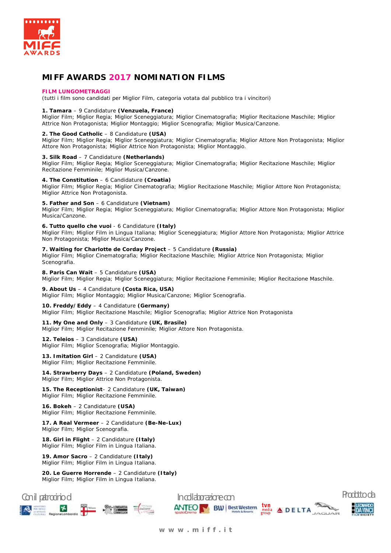

# **MIFF AWARDS 2017 NOMINATION FILMS**

#### **FILM LUNGOMETRAGGI**

(tutti i film sono candidati per Miglior Film, categoria votata dal pubblico tra i vincitori)

# **1. Tamara** – 9 Candidature **(Venzuela, France)**

Miglior Film; Miglior Regia; Miglior Sceneggiatura; Miglior Cinematografia; Miglior Recitazione Maschile; Miglior Attrice Non Protagonista; Miglior Montaggio; Miglior Scenografia; Miglior Musica/Canzone.

# **2. The Good Catholic** – 8 Candidature **(USA)**

Miglior Film; Miglior Regia; Miglior Sceneggiatura; Miglior Cinematografia; Miglior Attore Non Protagonista; Miglior Attore Non Protagonista; Miglior Attrice Non Protagonista; Miglior Montaggio.

# **3. Silk Road** – 7 Candidature **(Netherlands)**

Miglior Film; Miglior Regia; Miglior Sceneggiatura; Miglior Cinematografia; Miglior Recitazione Maschile; Miglior Recitazione Femminile; Miglior Musica/Canzone.

## **4. The Constitution** – 6 Candidature **(Croatia)**

Miglior Film; Miglior Regia; Miglior Cinematografia; Miglior Recitazione Maschile; Miglior Attore Non Protagonista; Miglior Attrice Non Protagonista.

## **5. Father and Son** – 6 Candidature **(Vietnam)**

Miglior Film; Miglior Regia; Miglior Sceneggiatura; Miglior Cinematografia; Miglior Attore Non Protagonista; Miglior Musica/Canzone.

## **6. Tutto quello che vuoi** - 6 Candidature **(Italy)**

Miglior Film; Miglior Film in Lingua Italiana; Miglior Sceneggiatura; Miglior Attore Non Protagonista; Miglior Attrice Non Protagonista; Miglior Musica/Canzone.

# **7. Waiting for Charlotte de Corday Project** – 5 Candidature **(Russia)**

Miglior Film; Miglior Cinematografia; Miglior Recitazione Maschile; Miglior Attrice Non Protagonista; Miglior Scenografia.

# **8. Paris Can Wait** – 5 Candidature **(USA)**

Miglior Film; Miglior Regia; Miglior Sceneggiatura; Miglior Recitazione Femminile; Miglior Recitazione Maschile.

#### **9. About Us** – 4 Candidature **(Costa Rica, USA)**

Miglior Film; Miglior Montaggio; Miglior Musica/Canzone; Miglior Scenografia.

# **10. Freddy/Eddy** – 4 Candidature **(Germany)**

Miglior Film; Miglior Recitazione Maschile; Miglior Scenografia; Miglior Attrice Non Protagonista

#### **11. My One and Only** – 3 Candidature **(UK, Brasile)**

Miglior Film; Miglior Recitazione Femminile; Miglior Attore Non Protagonista.

**12. Teleios** – 3 Candidature **(USA)** Miglior Film; Miglior Scenografia; Miglior Montaggio.

#### **13. Imitation Girl** – 2 Candidature **(USA)** Miglior Film; Miglior Recitazione Femminile.

**14. Strawberry Days** – 2 Candidature **(Poland, Sweden)**  Miglior Film; Miglior Attrice Non Protagonista.

**15. The Receptionist**– 2 Candidature **(UK, Taiwan)** Miglior Film; Miglior Recitazione Femminile.

**16. Bokeh** – 2 Candidature **(USA)** Miglior Film; Miglior Recitazione Femminile.

**17. A Real Vermeer** – 2 Candidature **(Be-Ne-Lux)** Miglior Film; Miglior Scenografia.

**18. Girl in Flight** – 2 Candidature **(Italy)** Miglior Film; Miglior Film in Lingua Italiana.

**19. Amor Sacro** – 2 Candidature **(Italy)** Miglior Film; Miglior Film in Lingua Italiana.

**20. Le Guerre Horrende** – 2 Candidature **(Italy)** Miglior Film; Miglior Film in Lingua Italiana.

**SET Millen SPR-LOMBARDIA** TIT

 $\mathbf{r}$ 



**w w w . m i f f . i t**